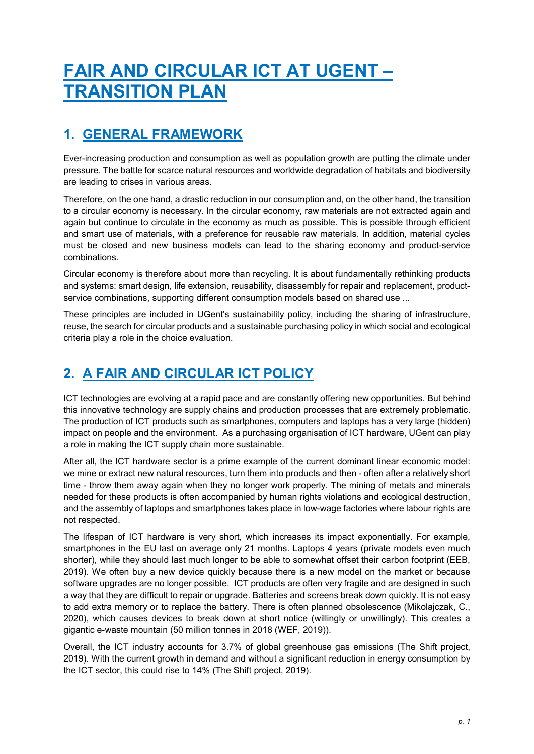# FAIR AND CIRCULAR ICT AT UGENT – TRANSITION PLAN

# 1. GENERAL FRAMEWORK

Ever-increasing production and consumption as well as population growth are putting the climate under pressure. The battle for scarce natural resources and worldwide degradation of habitats and biodiversity are leading to crises in various areas.

Therefore, on the one hand, a drastic reduction in our consumption and, on the other hand, the transition to a circular economy is necessary. In the circular economy, raw materials are not extracted again and again but continue to circulate in the economy as much as possible. This is possible through efficient and smart use of materials, with a preference for reusable raw materials. In addition, material cycles must be closed and new business models can lead to the sharing economy and product-service combinations.

Circular economy is therefore about more than recycling. It is about fundamentally rethinking products and systems: smart design, life extension, reusability, disassembly for repair and replacement, productservice combinations, supporting different consumption models based on shared use ...

These principles are included in UGent's sustainability policy, including the sharing of infrastructure, reuse, the search for circular products and a sustainable purchasing policy in which social and ecological criteria play a role in the choice evaluation.

# 2. A FAIR AND CIRCULAR ICT POLICY

ICT technologies are evolving at a rapid pace and are constantly offering new opportunities. But behind this innovative technology are supply chains and production processes that are extremely problematic. The production of ICT products such as smartphones, computers and laptops has a very large (hidden) impact on people and the environment. As a purchasing organisation of ICT hardware, UGent can play a role in making the ICT supply chain more sustainable.

After all, the ICT hardware sector is a prime example of the current dominant linear economic model: we mine or extract new natural resources, turn them into products and then - often after a relatively short time - throw them away again when they no longer work properly. The mining of metals and minerals needed for these products is often accompanied by human rights violations and ecological destruction, and the assembly of laptops and smartphones takes place in low-wage factories where labour rights are not respected.

The lifespan of ICT hardware is very short, which increases its impact exponentially. For example, smartphones in the EU last on average only 21 months. Laptops 4 years (private models even much shorter), while they should last much longer to be able to somewhat offset their carbon footprint (EEB, 2019). We often buy a new device quickly because there is a new model on the market or because software upgrades are no longer possible. ICT products are often very fragile and are designed in such a way that they are difficult to repair or upgrade. Batteries and screens break down quickly. It is not easy to add extra memory or to replace the battery. There is often planned obsolescence (Mikolajczak, C., 2020), which causes devices to break down at short notice (willingly or unwillingly). This creates a gigantic e-waste mountain (50 million tonnes in 2018 (WEF, 2019)).

Overall, the ICT industry accounts for 3.7% of global greenhouse gas emissions (The Shift project, 2019). With the current growth in demand and without a significant reduction in energy consumption by the ICT sector, this could rise to 14% (The Shift project, 2019).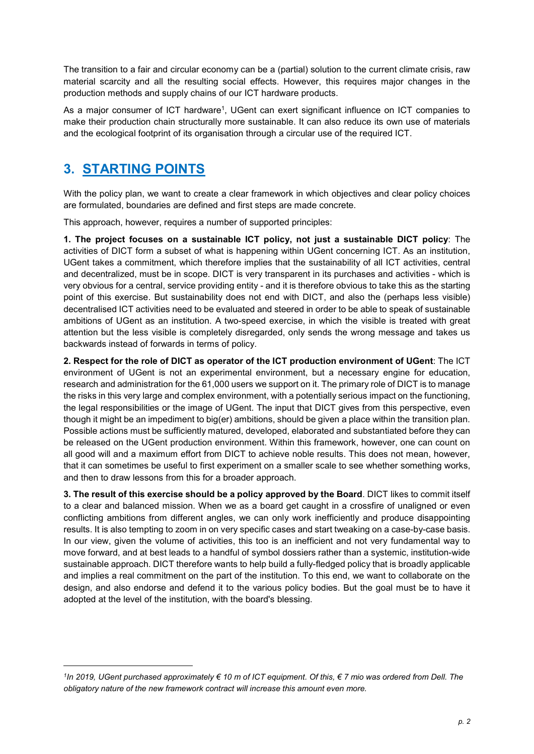The transition to a fair and circular economy can be a (partial) solution to the current climate crisis, raw material scarcity and all the resulting social effects. However, this requires major changes in the production methods and supply chains of our ICT hardware products.

As a major consumer of ICT hardware<sup>1</sup>, UGent can exert significant influence on ICT companies to make their production chain structurally more sustainable. It can also reduce its own use of materials and the ecological footprint of its organisation through a circular use of the required ICT.

### 3. STARTING POINTS

-

With the policy plan, we want to create a clear framework in which objectives and clear policy choices are formulated, boundaries are defined and first steps are made concrete.

This approach, however, requires a number of supported principles:

1. The project focuses on a sustainable ICT policy, not just a sustainable DICT policy: The activities of DICT form a subset of what is happening within UGent concerning ICT. As an institution, UGent takes a commitment, which therefore implies that the sustainability of all ICT activities, central and decentralized, must be in scope. DICT is very transparent in its purchases and activities - which is very obvious for a central, service providing entity - and it is therefore obvious to take this as the starting point of this exercise. But sustainability does not end with DICT, and also the (perhaps less visible) decentralised ICT activities need to be evaluated and steered in order to be able to speak of sustainable ambitions of UGent as an institution. A two-speed exercise, in which the visible is treated with great attention but the less visible is completely disregarded, only sends the wrong message and takes us backwards instead of forwards in terms of policy.

2. Respect for the role of DICT as operator of the ICT production environment of UGent: The ICT environment of UGent is not an experimental environment, but a necessary engine for education, research and administration for the 61,000 users we support on it. The primary role of DICT is to manage the risks in this very large and complex environment, with a potentially serious impact on the functioning, the legal responsibilities or the image of UGent. The input that DICT gives from this perspective, even though it might be an impediment to big(er) ambitions, should be given a place within the transition plan. Possible actions must be sufficiently matured, developed, elaborated and substantiated before they can be released on the UGent production environment. Within this framework, however, one can count on all good will and a maximum effort from DICT to achieve noble results. This does not mean, however, that it can sometimes be useful to first experiment on a smaller scale to see whether something works, and then to draw lessons from this for a broader approach.

3. The result of this exercise should be a policy approved by the Board. DICT likes to commit itself to a clear and balanced mission. When we as a board get caught in a crossfire of unaligned or even conflicting ambitions from different angles, we can only work inefficiently and produce disappointing results. It is also tempting to zoom in on very specific cases and start tweaking on a case-by-case basis. In our view, given the volume of activities, this too is an inefficient and not very fundamental way to move forward, and at best leads to a handful of symbol dossiers rather than a systemic, institution-wide sustainable approach. DICT therefore wants to help build a fully-fledged policy that is broadly applicable and implies a real commitment on the part of the institution. To this end, we want to collaborate on the design, and also endorse and defend it to the various policy bodies. But the goal must be to have it adopted at the level of the institution, with the board's blessing.

<sup>1</sup> In 2019, UGent purchased approximately € 10 m of ICT equipment. Of this, € 7 mio was ordered from Dell. The obligatory nature of the new framework contract will increase this amount even more.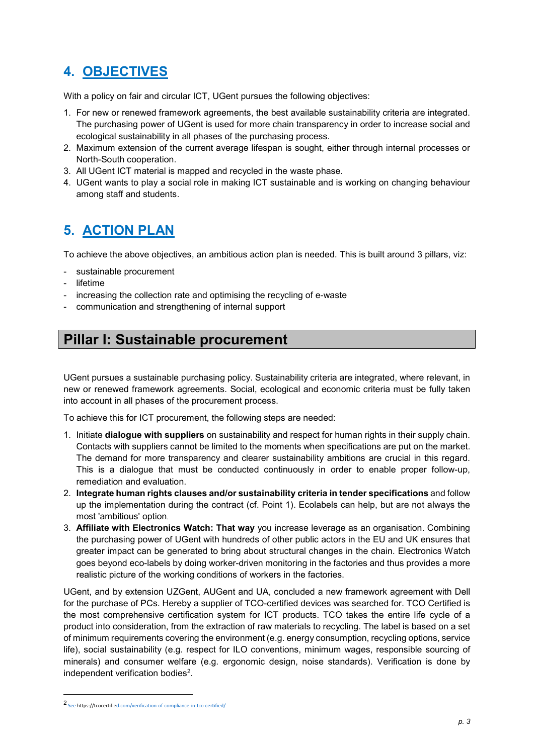# 4. OBJECTIVES

With a policy on fair and circular ICT, UGent pursues the following objectives:

- 1. For new or renewed framework agreements, the best available sustainability criteria are integrated. The purchasing power of UGent is used for more chain transparency in order to increase social and ecological sustainability in all phases of the purchasing process.
- 2. Maximum extension of the current average lifespan is sought, either through internal processes or North-South cooperation.
- 3. All UGent ICT material is mapped and recycled in the waste phase.
- 4. UGent wants to play a social role in making ICT sustainable and is working on changing behaviour among staff and students.

## 5. ACTION PLAN

To achieve the above objectives, an ambitious action plan is needed. This is built around 3 pillars, viz:

- sustainable procurement
- lifetime
- increasing the collection rate and optimising the recycling of e-waste
- communication and strengthening of internal support

### Pillar I: Sustainable procurement

UGent pursues a sustainable purchasing policy. Sustainability criteria are integrated, where relevant, in new or renewed framework agreements. Social, ecological and economic criteria must be fully taken into account in all phases of the procurement process.

To achieve this for ICT procurement, the following steps are needed:

- 1. Initiate **dialogue with suppliers** on sustainability and respect for human rights in their supply chain. Contacts with suppliers cannot be limited to the moments when specifications are put on the market. The demand for more transparency and clearer sustainability ambitions are crucial in this regard. This is a dialogue that must be conducted continuously in order to enable proper follow-up, remediation and evaluation.
- 2. Integrate human rights clauses and/or sustainability criteria in tender specifications and follow up the implementation during the contract (cf. Point 1). Ecolabels can help, but are not always the most 'ambitious' option.
- 3. Affiliate with Electronics Watch: That way you increase leverage as an organisation. Combining the purchasing power of UGent with hundreds of other public actors in the EU and UK ensures that greater impact can be generated to bring about structural changes in the chain. Electronics Watch goes beyond eco-labels by doing worker-driven monitoring in the factories and thus provides a more realistic picture of the working conditions of workers in the factories.

UGent, and by extension UZGent, AUGent and UA, concluded a new framework agreement with Dell for the purchase of PCs. Hereby a supplier of TCO-certified devices was searched for. TCO Certified is the most comprehensive certification system for ICT products. TCO takes the entire life cycle of a product into consideration, from the extraction of raw materials to recycling. The label is based on a set of minimum requirements covering the environment (e.g. energy consumption, recycling options, service life), social sustainability (e.g. respect for ILO conventions, minimum wages, responsible sourcing of minerals) and consumer welfare (e.g. ergonomic design, noise standards). Verification is done by independent verification bodies<sup>2</sup>.

-

<sup>2</sup> See https://tcocertified.com/verification-of-compliance-in-tco-certified/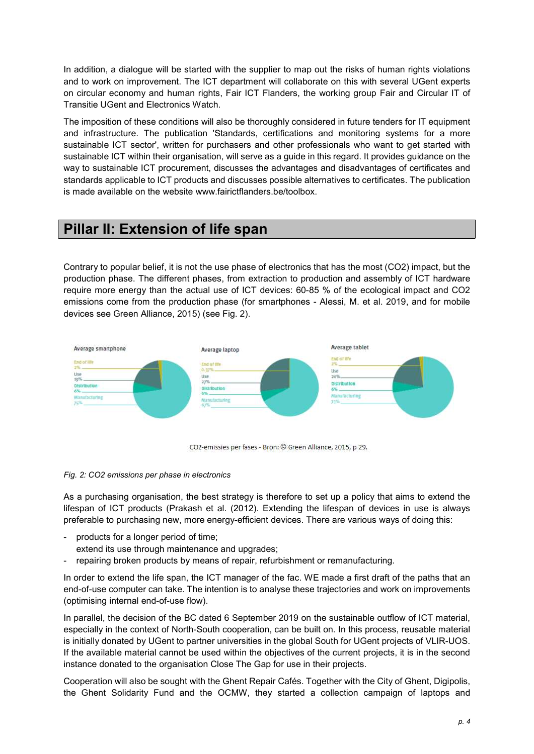In addition, a dialogue will be started with the supplier to map out the risks of human rights violations and to work on improvement. The ICT department will collaborate on this with several UGent experts on circular economy and human rights, Fair ICT Flanders, the working group Fair and Circular IT of Transitie UGent and Electronics Watch.

The imposition of these conditions will also be thoroughly considered in future tenders for IT equipment and infrastructure. The publication 'Standards, certifications and monitoring systems for a more sustainable ICT sector', written for purchasers and other professionals who want to get started with sustainable ICT within their organisation, will serve as a guide in this regard. It provides guidance on the way to sustainable ICT procurement, discusses the advantages and disadvantages of certificates and standards applicable to ICT products and discusses possible alternatives to certificates. The publication is made available on the website www.fairictflanders.be/toolbox.

### Pillar II: Extension of life span

Contrary to popular belief, it is not the use phase of electronics that has the most (CO2) impact, but the production phase. The different phases, from extraction to production and assembly of ICT hardware require more energy than the actual use of ICT devices: 60-85 % of the ecological impact and CO2 emissions come from the production phase (for smartphones - Alessi, M. et al. 2019, and for mobile devices see Green Alliance, 2015) (see Fig. 2).



CO2-emissies per fases - Bron: © Green Alliance, 2015, p 29.

#### Fig. 2: CO2 emissions per phase in electronics

As a purchasing organisation, the best strategy is therefore to set up a policy that aims to extend the lifespan of ICT products (Prakash et al. (2012). Extending the lifespan of devices in use is always preferable to purchasing new, more energy-efficient devices. There are various ways of doing this:

- products for a longer period of time;
- extend its use through maintenance and upgrades;
- repairing broken products by means of repair, refurbishment or remanufacturing.

In order to extend the life span, the ICT manager of the fac. WE made a first draft of the paths that an end-of-use computer can take. The intention is to analyse these trajectories and work on improvements (optimising internal end-of-use flow).

In parallel, the decision of the BC dated 6 September 2019 on the sustainable outflow of ICT material, especially in the context of North-South cooperation, can be built on. In this process, reusable material is initially donated by UGent to partner universities in the global South for UGent projects of VLIR-UOS. If the available material cannot be used within the objectives of the current projects, it is in the second instance donated to the organisation Close The Gap for use in their projects.

Cooperation will also be sought with the Ghent Repair Cafés. Together with the City of Ghent, Digipolis, the Ghent Solidarity Fund and the OCMW, they started a collection campaign of laptops and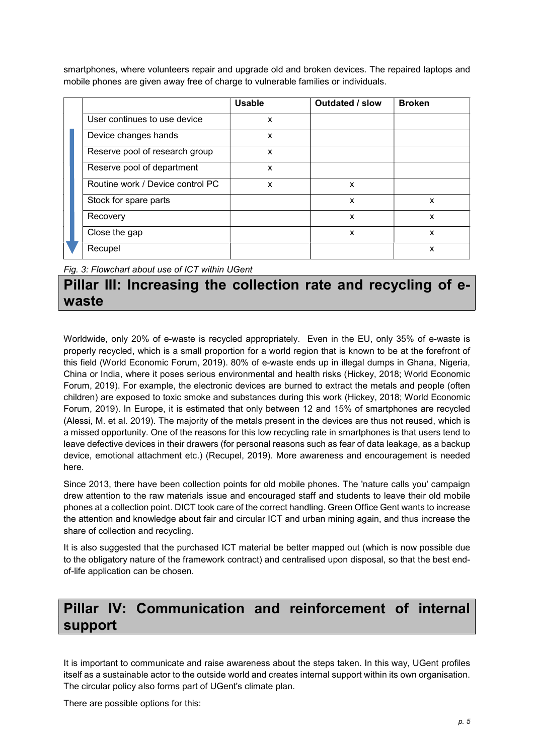smartphones, where volunteers repair and upgrade old and broken devices. The repaired laptops and mobile phones are given away free of charge to vulnerable families or individuals.

|  |                                  | <b>Usable</b> | <b>Outdated / slow</b> | <b>Broken</b>             |
|--|----------------------------------|---------------|------------------------|---------------------------|
|  | User continues to use device     | X             |                        |                           |
|  | Device changes hands             | X             |                        |                           |
|  | Reserve pool of research group   | X             |                        |                           |
|  | Reserve pool of department       | X             |                        |                           |
|  | Routine work / Device control PC | X             | X                      |                           |
|  | Stock for spare parts            |               | X                      | X                         |
|  | Recovery                         |               | X                      | $\boldsymbol{\mathsf{x}}$ |
|  | Close the gap                    |               | X                      | X                         |
|  | Recupel                          |               |                        | X                         |

Fig. 3: Flowchart about use of ICT within UGent

### Pillar III: Increasing the collection rate and recycling of ewaste

Worldwide, only 20% of e-waste is recycled appropriately. Even in the EU, only 35% of e-waste is properly recycled, which is a small proportion for a world region that is known to be at the forefront of this field (World Economic Forum, 2019). 80% of e-waste ends up in illegal dumps in Ghana, Nigeria, China or India, where it poses serious environmental and health risks (Hickey, 2018; World Economic Forum, 2019). For example, the electronic devices are burned to extract the metals and people (often children) are exposed to toxic smoke and substances during this work (Hickey, 2018; World Economic Forum, 2019). In Europe, it is estimated that only between 12 and 15% of smartphones are recycled (Alessi, M. et al. 2019). The majority of the metals present in the devices are thus not reused, which is a missed opportunity. One of the reasons for this low recycling rate in smartphones is that users tend to leave defective devices in their drawers (for personal reasons such as fear of data leakage, as a backup device, emotional attachment etc.) (Recupel, 2019). More awareness and encouragement is needed here.

Since 2013, there have been collection points for old mobile phones. The 'nature calls you' campaign drew attention to the raw materials issue and encouraged staff and students to leave their old mobile phones at a collection point. DICT took care of the correct handling. Green Office Gent wants to increase the attention and knowledge about fair and circular ICT and urban mining again, and thus increase the share of collection and recycling.

It is also suggested that the purchased ICT material be better mapped out (which is now possible due to the obligatory nature of the framework contract) and centralised upon disposal, so that the best endof-life application can be chosen.

# Pillar IV: Communication and reinforcement of internal support

It is important to communicate and raise awareness about the steps taken. In this way, UGent profiles itself as a sustainable actor to the outside world and creates internal support within its own organisation. The circular policy also forms part of UGent's climate plan.

There are possible options for this: